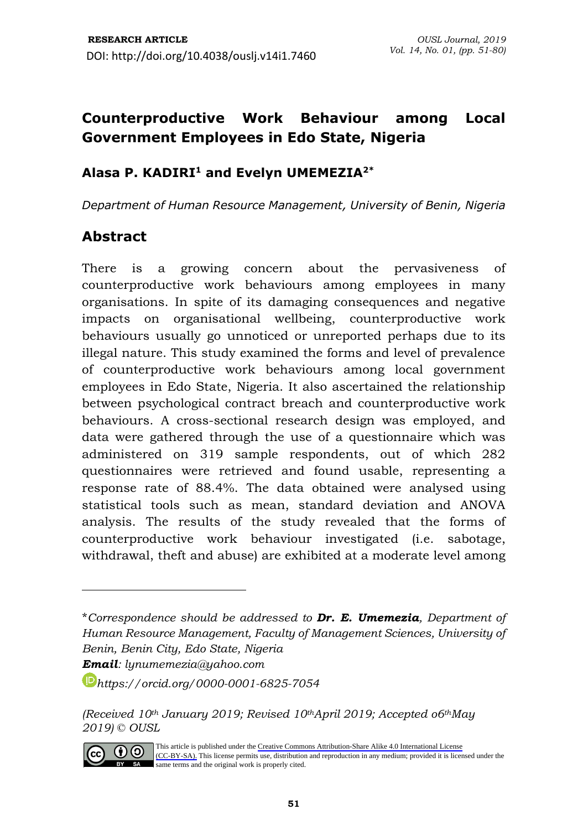# **Counterproductive Work Behaviour among Local Government Employees in Edo State, Nigeria**

### **Alasa P. KADIRI<sup>1</sup> and Evelyn UMEMEZIA2\***

*Department of Human Resource Management, University of Benin, Nigeria*

## **Abstract**

There is a growing concern about the pervasiveness of counterproductive work behaviours among employees in many organisations. In spite of its damaging consequences and negative impacts on organisational wellbeing, counterproductive work behaviours usually go unnoticed or unreported perhaps due to its illegal nature. This study examined the forms and level of prevalence of counterproductive work behaviours among local government employees in Edo State, Nigeria. It also ascertained the relationship between psychological contract breach and counterproductive work behaviours. A cross-sectional research design was employed, and data were gathered through the use of a questionnaire which was administered on 319 sample respondents, out of which 282 questionnaires were retrieved and found usable, representing a response rate of 88.4%. The data obtained were analysed using statistical tools such as mean, standard deviation and ANOVA analysis. The results of the study revealed that the forms of counterproductive work behaviour investigated (i.e. sabotage, withdrawal, theft and abuse) are exhibited at a moderate level among

*<sup>(</sup>Received 10th January 2019; Revised 10thApril 2019; Accepted o6thMay 2019) © OUSL*



<sup>\*</sup>*Correspondence should be addressed to Dr. E. Umemezia, Department of Human Resource Management, Faculty of Management Sciences, University of Benin, Benin City, Edo State, Nigeria Email: [lynumemezia@yahoo.com](mailto:lynumemezia@yahoo.com)*

*[https://orcid.org/0](https://orcid.org/)000-0001-6825-7054*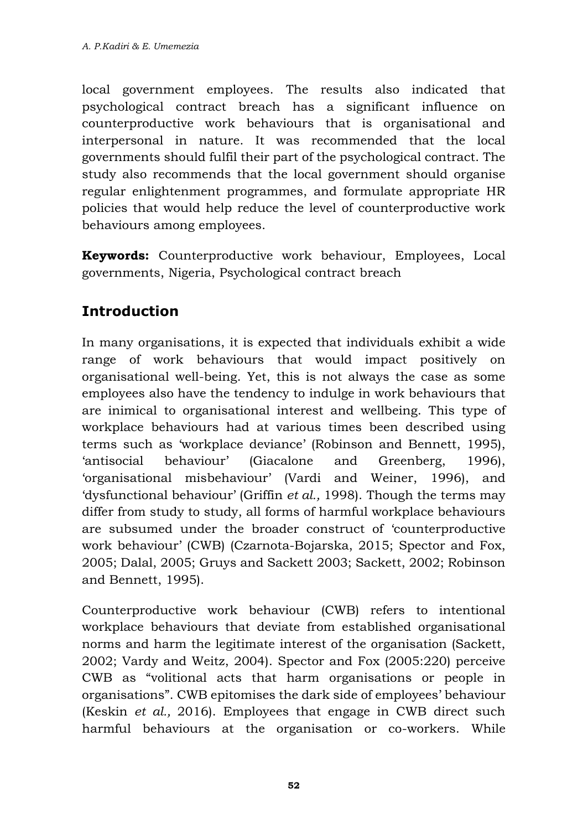local government employees. The results also indicated that psychological contract breach has a significant influence on counterproductive work behaviours that is organisational and interpersonal in nature. It was recommended that the local governments should fulfil their part of the psychological contract. The study also recommends that the local government should organise regular enlightenment programmes, and formulate appropriate HR policies that would help reduce the level of counterproductive work behaviours among employees.

**Keywords:** Counterproductive work behaviour, Employees, Local governments, Nigeria, Psychological contract breach

# **Introduction**

In many organisations, it is expected that individuals exhibit a wide range of work behaviours that would impact positively on organisational well-being. Yet, this is not always the case as some employees also have the tendency to indulge in work behaviours that are inimical to organisational interest and wellbeing. This type of workplace behaviours had at various times been described using terms such as 'workplace deviance' (Robinson and Bennett, 1995), 'antisocial behaviour' (Giacalone and Greenberg, 1996), 'organisational misbehaviour' (Vardi and Weiner, 1996), and 'dysfunctional behaviour' (Griffin *et al.,* 1998). Though the terms may differ from study to study, all forms of harmful workplace behaviours are subsumed under the broader construct of 'counterproductive work behaviour' (CWB) (Czarnota-Bojarska, 2015; Spector and Fox, 2005; Dalal, 2005; Gruys and Sackett 2003; Sackett, 2002; Robinson and Bennett, 1995).

Counterproductive work behaviour (CWB) refers to intentional workplace behaviours that deviate from established organisational norms and harm the legitimate interest of the organisation (Sackett, 2002; Vardy and Weitz, 2004). Spector and Fox (2005:220) perceive CWB as "volitional acts that harm organisations or people in organisations". CWB epitomises the dark side of employees' behaviour (Keskin *et al.,* 2016). Employees that engage in CWB direct such harmful behaviours at the organisation or co-workers. While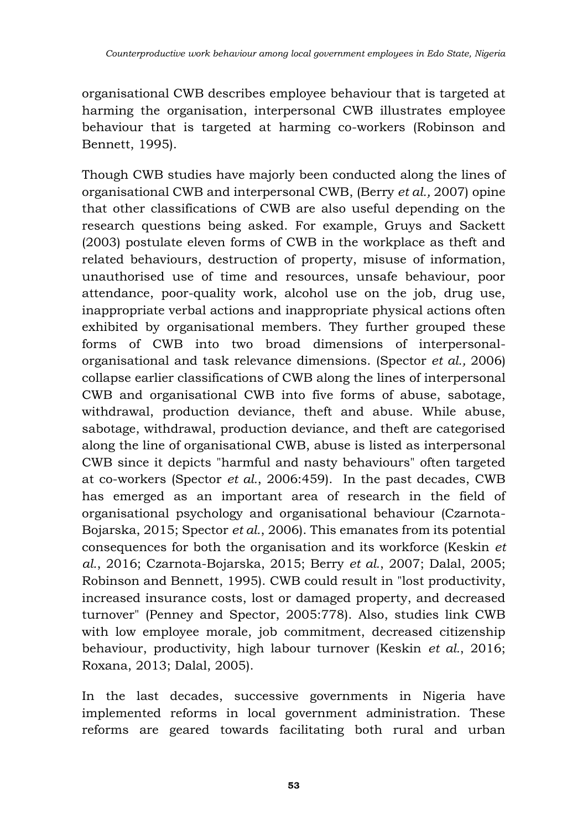organisational CWB describes employee behaviour that is targeted at harming the organisation, interpersonal CWB illustrates employee behaviour that is targeted at harming co-workers (Robinson and Bennett, 1995).

Though CWB studies have majorly been conducted along the lines of organisational CWB and interpersonal CWB, (Berry *et al.,* 2007) opine that other classifications of CWB are also useful depending on the research questions being asked. For example, Gruys and Sackett (2003) postulate eleven forms of CWB in the workplace as theft and related behaviours, destruction of property, misuse of information, unauthorised use of time and resources, unsafe behaviour, poor attendance, poor-quality work, alcohol use on the job, drug use, inappropriate verbal actions and inappropriate physical actions often exhibited by organisational members. They further grouped these forms of CWB into two broad dimensions of interpersonalorganisational and task relevance dimensions. (Spector *et al.,* 2006) collapse earlier classifications of CWB along the lines of interpersonal CWB and organisational CWB into five forms of abuse, sabotage, withdrawal, production deviance, theft and abuse. While abuse, sabotage, withdrawal, production deviance, and theft are categorised along the line of organisational CWB, abuse is listed as interpersonal CWB since it depicts "harmful and nasty behaviours" often targeted at co-workers (Spector *et al.*, 2006:459). In the past decades, CWB has emerged as an important area of research in the field of organisational psychology and organisational behaviour (Czarnota-Bojarska, 2015; Spector *et al.*, 2006). This emanates from its potential consequences for both the organisation and its workforce (Keskin *et al.*, 2016; Czarnota-Bojarska, 2015; Berry *et al.*, 2007; Dalal, 2005; Robinson and Bennett, 1995). CWB could result in "lost productivity, increased insurance costs, lost or damaged property, and decreased turnover" (Penney and Spector, 2005:778). Also, studies link CWB with low employee morale, job commitment, decreased citizenship behaviour, productivity, high labour turnover (Keskin *et al.*, 2016; Roxana, 2013; Dalal, 2005).

In the last decades, successive governments in Nigeria have implemented reforms in local government administration. These reforms are geared towards facilitating both rural and urban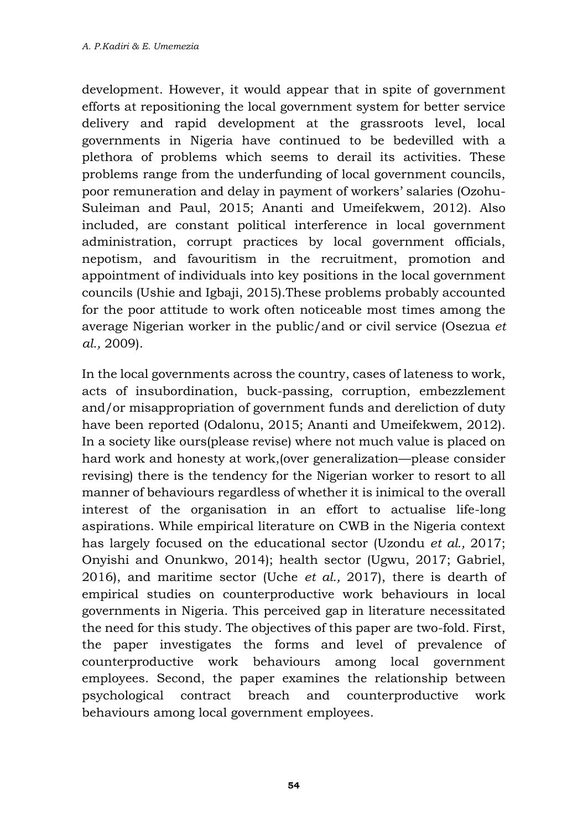development. However, it would appear that in spite of government efforts at repositioning the local government system for better service delivery and rapid development at the grassroots level, local governments in Nigeria have continued to be bedevilled with a plethora of problems which seems to derail its activities. These problems range from the underfunding of local government councils, poor remuneration and delay in payment of workers' salaries (Ozohu-Suleiman and Paul, 2015; Ananti and Umeifekwem, 2012). Also included, are constant political interference in local government administration, corrupt practices by local government officials, nepotism, and favouritism in the recruitment, promotion and appointment of individuals into key positions in the local government councils (Ushie and Igbaji, 2015).These problems probably accounted for the poor attitude to work often noticeable most times among the average Nigerian worker in the public/and or civil service (Osezua *et al.,* 2009).

In the local governments across the country, cases of lateness to work, acts of insubordination, buck-passing, corruption, embezzlement and/or misappropriation of government funds and dereliction of duty have been reported (Odalonu, 2015; Ananti and Umeifekwem, 2012). In a society like ours(please revise) where not much value is placed on hard work and honesty at work,(over generalization—please consider revising) there is the tendency for the Nigerian worker to resort to all manner of behaviours regardless of whether it is inimical to the overall interest of the organisation in an effort to actualise life-long aspirations. While empirical literature on CWB in the Nigeria context has largely focused on the educational sector (Uzondu *et al.,* 2017; Onyishi and Onunkwo, 2014); health sector (Ugwu, 2017; Gabriel, 2016), and maritime sector (Uche *et al.,* 2017), there is dearth of empirical studies on counterproductive work behaviours in local governments in Nigeria. This perceived gap in literature necessitated the need for this study. The objectives of this paper are two-fold. First, the paper investigates the forms and level of prevalence of counterproductive work behaviours among local government employees. Second, the paper examines the relationship between psychological contract breach and counterproductive work behaviours among local government employees.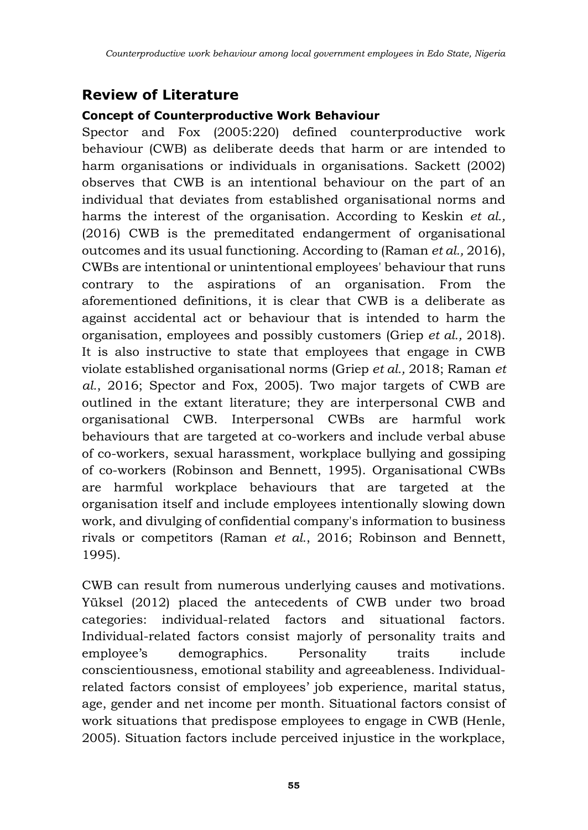## **Review of Literature**

#### **Concept of Counterproductive Work Behaviour**

Spector and Fox (2005:220) defined counterproductive work behaviour (CWB) as deliberate deeds that harm or are intended to harm organisations or individuals in organisations. Sackett (2002) observes that CWB is an intentional behaviour on the part of an individual that deviates from established organisational norms and harms the interest of the organisation. According to Keskin *et al.,* (2016) CWB is the premeditated endangerment of organisational outcomes and its usual functioning. According to (Raman *et al.,* 2016), CWBs are intentional or unintentional employees' behaviour that runs contrary to the aspirations of an organisation. From the aforementioned definitions, it is clear that CWB is a deliberate as against accidental act or behaviour that is intended to harm the organisation, employees and possibly customers (Griep *et al.,* 2018). It is also instructive to state that employees that engage in CWB violate established organisational norms (Griep *et al.,* 2018; Raman *et al.*, 2016; Spector and Fox, 2005). Two major targets of CWB are outlined in the extant literature; they are interpersonal CWB and organisational CWB. Interpersonal CWBs are harmful work behaviours that are targeted at co-workers and include verbal abuse of co-workers, sexual harassment, workplace bullying and gossiping of co-workers (Robinson and Bennett, 1995). Organisational CWBs are harmful workplace behaviours that are targeted at the organisation itself and include employees intentionally slowing down work, and divulging of confidential company's information to business rivals or competitors (Raman *et al.*, 2016; Robinson and Bennett, 1995).

CWB can result from numerous underlying causes and motivations. Yüksel (2012) placed the antecedents of CWB under two broad categories: individual-related factors and situational factors. Individual-related factors consist majorly of personality traits and employee's demographics. Personality traits include conscientiousness, emotional stability and agreeableness. Individualrelated factors consist of employees' job experience, marital status, age, gender and net income per month. Situational factors consist of work situations that predispose employees to engage in CWB (Henle, 2005). Situation factors include perceived injustice in the workplace,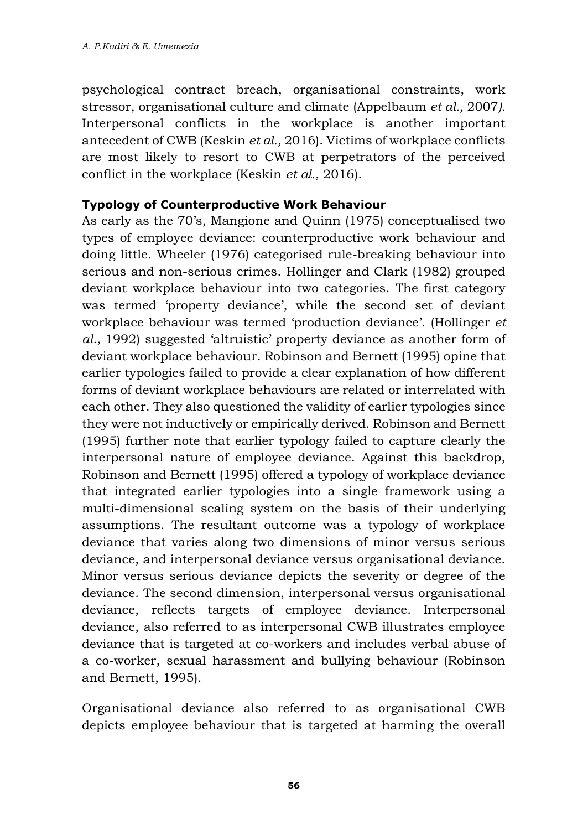psychological contract breach, organisational constraints, work stressor, organisational culture and climate (Appelbaum *et al.,* 2007*).* Interpersonal conflicts in the workplace is another important antecedent of CWB (Keskin *et al.,* 2016). Victims of workplace conflicts are most likely to resort to CWB at perpetrators of the perceived conflict in the workplace (Keskin *et al.,* 2016).

#### **Typology of Counterproductive Work Behaviour**

As early as the 70's, Mangione and Quinn (1975) conceptualised two types of employee deviance: counterproductive work behaviour and doing little. Wheeler (1976) categorised rule-breaking behaviour into serious and non-serious crimes. Hollinger and Clark (1982) grouped deviant workplace behaviour into two categories. The first category was termed 'property deviance', while the second set of deviant workplace behaviour was termed 'production deviance'. (Hollinger *et al.,* 1992) suggested 'altruistic' property deviance as another form of deviant workplace behaviour. Robinson and Bernett (1995) opine that earlier typologies failed to provide a clear explanation of how different forms of deviant workplace behaviours are related or interrelated with each other. They also questioned the validity of earlier typologies since they were not inductively or empirically derived. Robinson and Bernett (1995) further note that earlier typology failed to capture clearly the interpersonal nature of employee deviance. Against this backdrop, Robinson and Bernett (1995) offered a typology of workplace deviance that integrated earlier typologies into a single framework using a multi-dimensional scaling system on the basis of their underlying assumptions. The resultant outcome was a typology of workplace deviance that varies along two dimensions of minor versus serious deviance, and interpersonal deviance versus organisational deviance. Minor versus serious deviance depicts the severity or degree of the deviance. The second dimension, interpersonal versus organisational deviance, reflects targets of employee deviance. Interpersonal deviance, also referred to as interpersonal CWB illustrates employee deviance that is targeted at co-workers and includes verbal abuse of a co-worker, sexual harassment and bullying behaviour (Robinson and Bernett, 1995).

Organisational deviance also referred to as organisational CWB depicts employee behaviour that is targeted at harming the overall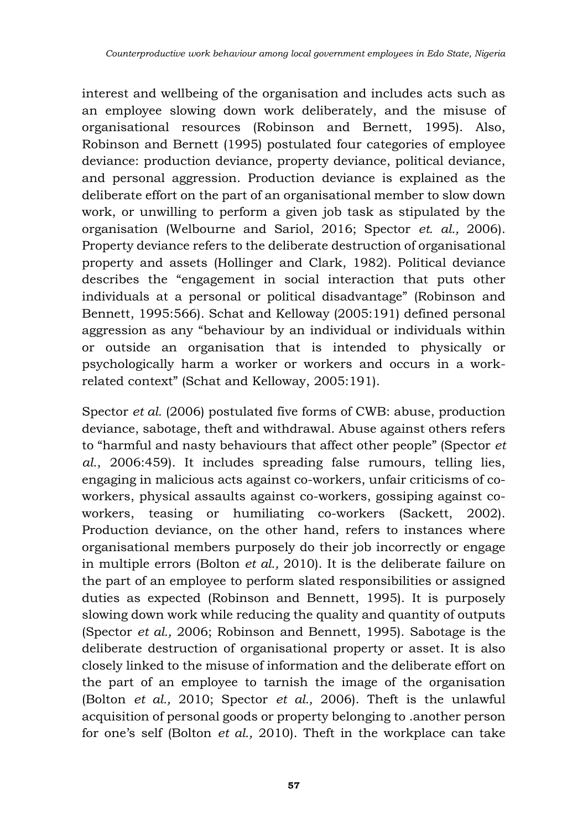interest and wellbeing of the organisation and includes acts such as an employee slowing down work deliberately, and the misuse of organisational resources (Robinson and Bernett, 1995). Also, Robinson and Bernett (1995) postulated four categories of employee deviance: production deviance, property deviance, political deviance, and personal aggression. Production deviance is explained as the deliberate effort on the part of an organisational member to slow down work, or unwilling to perform a given job task as stipulated by the organisation (Welbourne and Sariol, 2016; Spector *et. al.,* 2006). Property deviance refers to the deliberate destruction of organisational property and assets (Hollinger and Clark, 1982). Political deviance describes the "engagement in social interaction that puts other individuals at a personal or political disadvantage" (Robinson and Bennett, 1995:566). Schat and Kelloway (2005:191) defined personal aggression as any "behaviour by an individual or individuals within or outside an organisation that is intended to physically or psychologically harm a worker or workers and occurs in a workrelated context" (Schat and Kelloway, 2005:191).

Spector *et al.* (2006) postulated five forms of CWB: abuse, production deviance, sabotage, theft and withdrawal. Abuse against others refers to "harmful and nasty behaviours that affect other people" (Spector *et al.*, 2006:459). It includes spreading false rumours, telling lies, engaging in malicious acts against co-workers, unfair criticisms of coworkers, physical assaults against co-workers, gossiping against coworkers, teasing or humiliating co-workers (Sackett, 2002). Production deviance, on the other hand, refers to instances where organisational members purposely do their job incorrectly or engage in multiple errors (Bolton *et al.,* 2010). It is the deliberate failure on the part of an employee to perform slated responsibilities or assigned duties as expected (Robinson and Bennett, 1995). It is purposely slowing down work while reducing the quality and quantity of outputs (Spector *et al.,* 2006; Robinson and Bennett, 1995). Sabotage is the deliberate destruction of organisational property or asset. It is also closely linked to the misuse of information and the deliberate effort on the part of an employee to tarnish the image of the organisation (Bolton *et al.,* 2010; Spector *et al.,* 2006). Theft is the unlawful acquisition of personal goods or property belonging to .another person for one's self (Bolton *et al.,* 2010). Theft in the workplace can take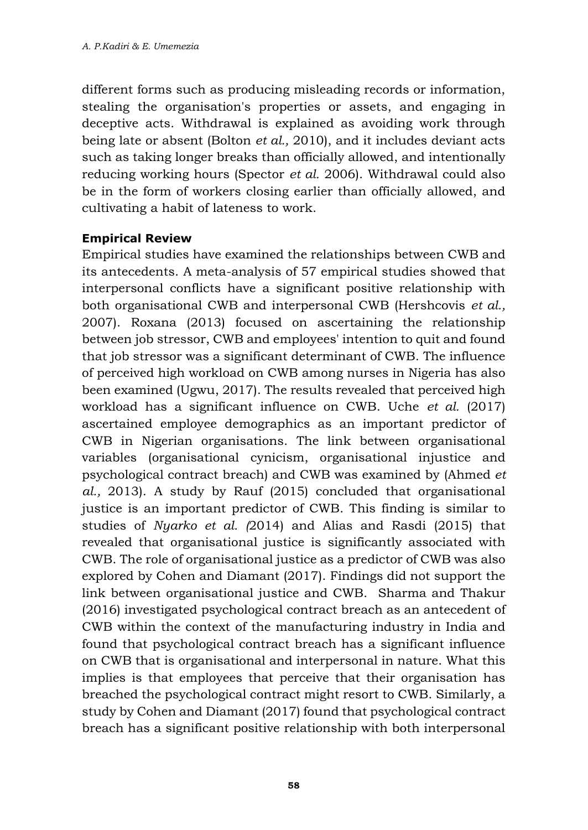different forms such as producing misleading records or information, stealing the organisation's properties or assets, and engaging in deceptive acts. Withdrawal is explained as avoiding work through being late or absent (Bolton *et al.,* 2010), and it includes deviant acts such as taking longer breaks than officially allowed, and intentionally reducing working hours (Spector *et al.* 2006). Withdrawal could also be in the form of workers closing earlier than officially allowed, and cultivating a habit of lateness to work.

#### **Empirical Review**

Empirical studies have examined the relationships between CWB and its antecedents. A meta-analysis of 57 empirical studies showed that interpersonal conflicts have a significant positive relationship with both organisational CWB and interpersonal CWB (Hershcovis *et al.,* 2007). Roxana (2013) focused on ascertaining the relationship between job stressor, CWB and employees' intention to quit and found that job stressor was a significant determinant of CWB. The influence of perceived high workload on CWB among nurses in Nigeria has also been examined (Ugwu, 2017). The results revealed that perceived high workload has a significant influence on CWB. Uche *et al.* (2017) ascertained employee demographics as an important predictor of CWB in Nigerian organisations. The link between organisational variables (organisational cynicism, organisational injustice and psychological contract breach) and CWB was examined by (Ahmed *et al.,* 2013). A study by Rauf (2015) concluded that organisational justice is an important predictor of CWB. This finding is similar to studies of *Nyarko et al. (*2014) and Alias and Rasdi (2015) that revealed that organisational justice is significantly associated with CWB. The role of organisational justice as a predictor of CWB was also explored by Cohen and Diamant (2017). Findings did not support the link between organisational justice and CWB. Sharma and Thakur (2016) investigated psychological contract breach as an antecedent of CWB within the context of the manufacturing industry in India and found that psychological contract breach has a significant influence on CWB that is organisational and interpersonal in nature. What this implies is that employees that perceive that their organisation has breached the psychological contract might resort to CWB. Similarly, a study by Cohen and Diamant (2017) found that psychological contract breach has a significant positive relationship with both interpersonal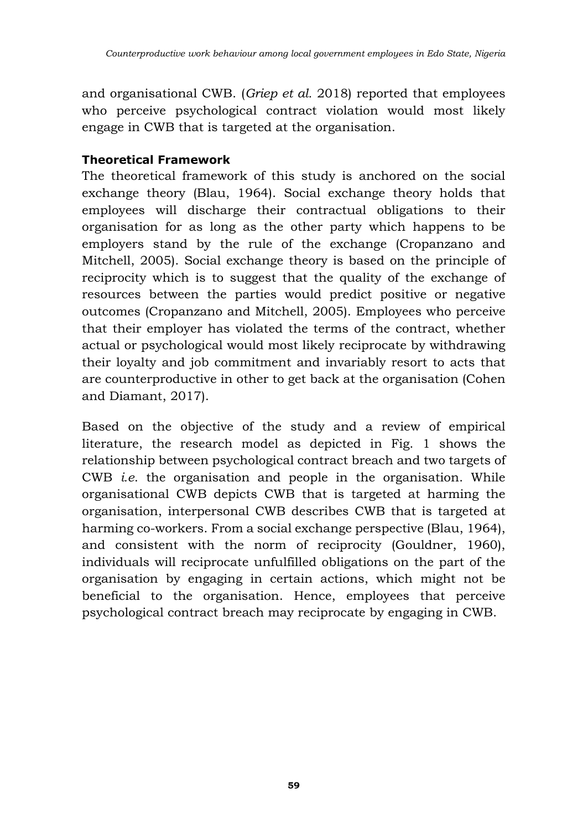and organisational CWB. (*Griep et al.* 2018) reported that employees who perceive psychological contract violation would most likely engage in CWB that is targeted at the organisation.

#### **Theoretical Framework**

The theoretical framework of this study is anchored on the social exchange theory (Blau, 1964). Social exchange theory holds that employees will discharge their contractual obligations to their organisation for as long as the other party which happens to be employers stand by the rule of the exchange (Cropanzano and Mitchell, 2005). Social exchange theory is based on the principle of reciprocity which is to suggest that the quality of the exchange of resources between the parties would predict positive or negative outcomes (Cropanzano and Mitchell, 2005). Employees who perceive that their employer has violated the terms of the contract, whether actual or psychological would most likely reciprocate by withdrawing their loyalty and job commitment and invariably resort to acts that are counterproductive in other to get back at the organisation (Cohen and Diamant, 2017).

Based on the objective of the study and a review of empirical literature, the research model as depicted in Fig. 1 shows the relationship between psychological contract breach and two targets of CWB *i.e*. the organisation and people in the organisation. While organisational CWB depicts CWB that is targeted at harming the organisation, interpersonal CWB describes CWB that is targeted at harming co-workers. From a social exchange perspective (Blau, 1964), and consistent with the norm of reciprocity (Gouldner, 1960), individuals will reciprocate unfulfilled obligations on the part of the organisation by engaging in certain actions, which might not be beneficial to the organisation. Hence, employees that perceive psychological contract breach may reciprocate by engaging in CWB.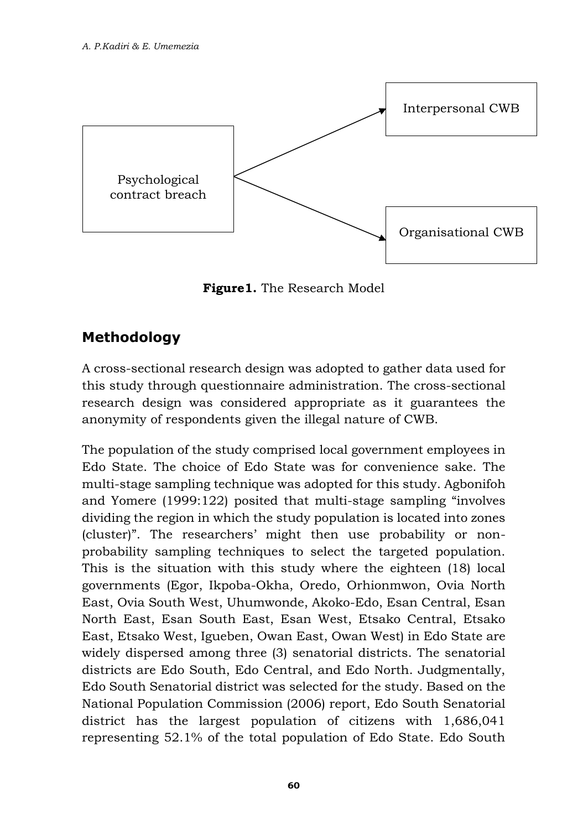

**Figure1.** The Research Model

## **Methodology**

A cross-sectional research design was adopted to gather data used for this study through questionnaire administration. The cross-sectional research design was considered appropriate as it guarantees the anonymity of respondents given the illegal nature of CWB.

The population of the study comprised local government employees in Edo State. The choice of Edo State was for convenience sake. The multi-stage sampling technique was adopted for this study. Agbonifoh and Yomere (1999:122) posited that multi-stage sampling "involves dividing the region in which the study population is located into zones (cluster)". The researchers' might then use probability or nonprobability sampling techniques to select the targeted population. This is the situation with this study where the eighteen (18) local governments (Egor, Ikpoba-Okha, Oredo, Orhionmwon, Ovia North East, Ovia South West, Uhumwonde, Akoko-Edo, Esan Central, Esan North East, Esan South East, Esan West, Etsako Central, Etsako East, Etsako West, Igueben, Owan East, Owan West) in Edo State are widely dispersed among three (3) senatorial districts. The senatorial districts are Edo South, Edo Central, and Edo North. Judgmentally, Edo South Senatorial district was selected for the study. Based on the National Population Commission (2006) report, Edo South Senatorial district has the largest population of citizens with 1,686,041 representing 52.1% of the total population of Edo State. Edo South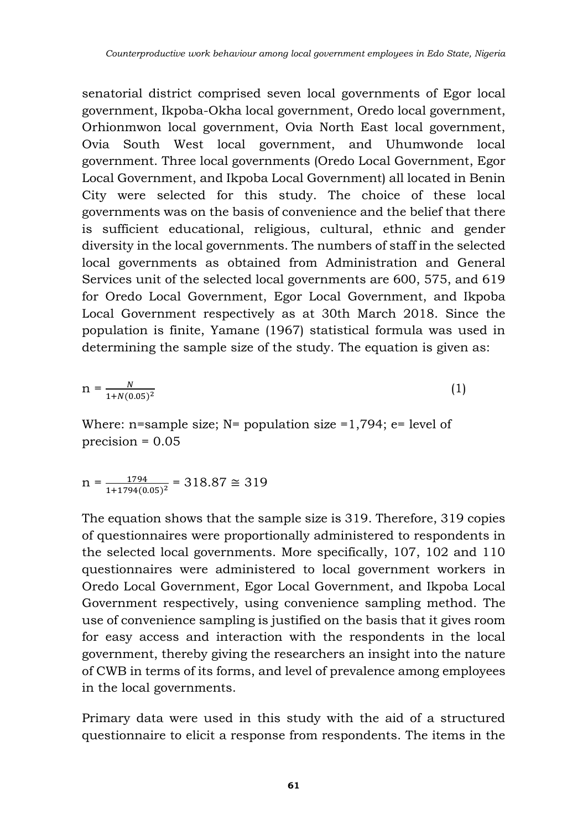senatorial district comprised seven local governments of Egor local government, Ikpoba-Okha local government, Oredo local government, Orhionmwon local government, Ovia North East local government, Ovia South West local government, and Uhumwonde local government. Three local governments (Oredo Local Government, Egor Local Government, and Ikpoba Local Government) all located in Benin City were selected for this study. The choice of these local governments was on the basis of convenience and the belief that there is sufficient educational, religious, cultural, ethnic and gender diversity in the local governments. The numbers of staff in the selected local governments as obtained from Administration and General Services unit of the selected local governments are 600, 575, and 619 for Oredo Local Government, Egor Local Government, and Ikpoba Local Government respectively as at 30th March 2018. Since the population is finite, Yamane (1967) statistical formula was used in determining the sample size of the study. The equation is given as:

$$
n = \frac{N}{1 + N(0.05)^2}
$$
 (1)

Where: n=sample size;  $N=$  population size =1,794; e= level of precision = 0.05

$$
n = \frac{1794}{1 + 1794(0.05)^2} = 318.87 \approx 319
$$

The equation shows that the sample size is 319. Therefore, 319 copies of questionnaires were proportionally administered to respondents in the selected local governments. More specifically, 107, 102 and 110 questionnaires were administered to local government workers in Oredo Local Government, Egor Local Government, and Ikpoba Local Government respectively, using convenience sampling method. The use of convenience sampling is justified on the basis that it gives room for easy access and interaction with the respondents in the local government, thereby giving the researchers an insight into the nature of CWB in terms of its forms, and level of prevalence among employees in the local governments.

Primary data were used in this study with the aid of a structured questionnaire to elicit a response from respondents. The items in the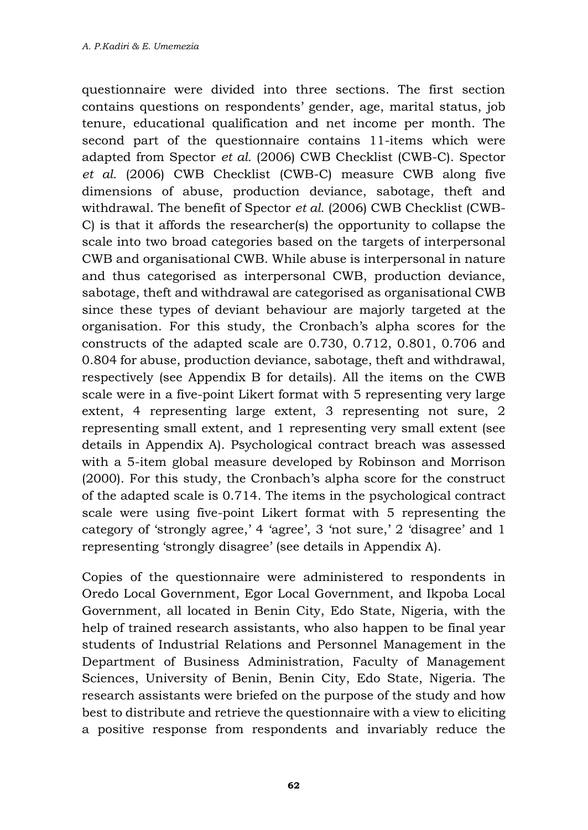questionnaire were divided into three sections. The first section contains questions on respondents' gender, age, marital status, job tenure, educational qualification and net income per month. The second part of the questionnaire contains 11-items which were adapted from Spector *et al.* (2006) CWB Checklist (CWB-C). Spector *et al.* (2006) CWB Checklist (CWB-C) measure CWB along five dimensions of abuse, production deviance, sabotage, theft and withdrawal. The benefit of Spector *et al.* (2006) CWB Checklist (CWB-C) is that it affords the researcher(s) the opportunity to collapse the scale into two broad categories based on the targets of interpersonal CWB and organisational CWB. While abuse is interpersonal in nature and thus categorised as interpersonal CWB, production deviance, sabotage, theft and withdrawal are categorised as organisational CWB since these types of deviant behaviour are majorly targeted at the organisation. For this study, the Cronbach's alpha scores for the constructs of the adapted scale are 0.730, 0.712, 0.801, 0.706 and 0.804 for abuse, production deviance, sabotage, theft and withdrawal, respectively (see Appendix B for details). All the items on the CWB scale were in a five-point Likert format with 5 representing very large extent, 4 representing large extent, 3 representing not sure, 2 representing small extent, and 1 representing very small extent (see details in Appendix A). Psychological contract breach was assessed with a 5-item global measure developed by Robinson and Morrison (2000). For this study, the Cronbach's alpha score for the construct of the adapted scale is 0.714. The items in the psychological contract scale were using five-point Likert format with 5 representing the category of 'strongly agree,' 4 'agree', 3 'not sure,' 2 'disagree' and 1 representing 'strongly disagree' (see details in Appendix A).

Copies of the questionnaire were administered to respondents in Oredo Local Government, Egor Local Government, and Ikpoba Local Government, all located in Benin City, Edo State, Nigeria, with the help of trained research assistants, who also happen to be final year students of Industrial Relations and Personnel Management in the Department of Business Administration, Faculty of Management Sciences, University of Benin, Benin City, Edo State, Nigeria. The research assistants were briefed on the purpose of the study and how best to distribute and retrieve the questionnaire with a view to eliciting a positive response from respondents and invariably reduce the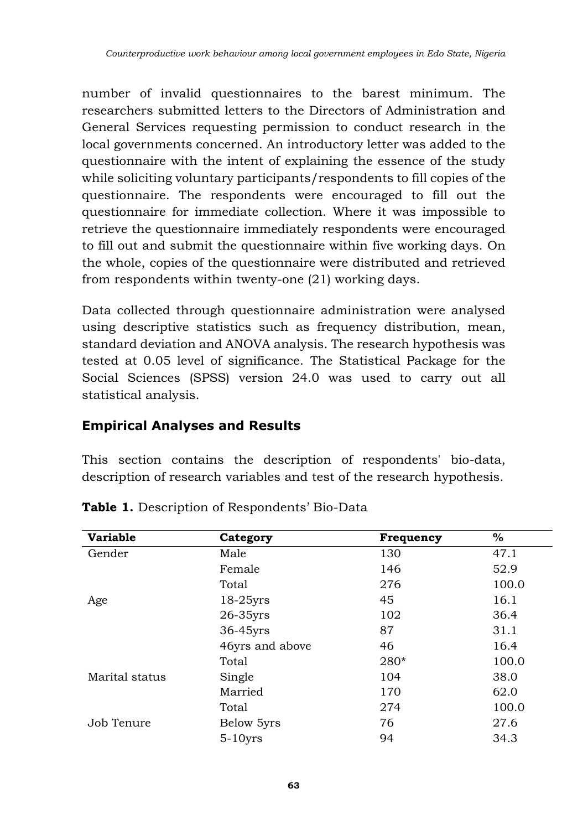number of invalid questionnaires to the barest minimum. The researchers submitted letters to the Directors of Administration and General Services requesting permission to conduct research in the local governments concerned. An introductory letter was added to the questionnaire with the intent of explaining the essence of the study while soliciting voluntary participants/respondents to fill copies of the questionnaire. The respondents were encouraged to fill out the questionnaire for immediate collection. Where it was impossible to retrieve the questionnaire immediately respondents were encouraged to fill out and submit the questionnaire within five working days. On the whole, copies of the questionnaire were distributed and retrieved from respondents within twenty-one (21) working days.

Data collected through questionnaire administration were analysed using descriptive statistics such as frequency distribution, mean, standard deviation and ANOVA analysis. The research hypothesis was tested at 0.05 level of significance. The Statistical Package for the Social Sciences (SPSS) version 24.0 was used to carry out all statistical analysis.

### **Empirical Analyses and Results**

This section contains the description of respondents' bio-data, description of research variables and test of the research hypothesis.

| <b>Variable</b> | Category        | <b>Frequency</b> | %     |
|-----------------|-----------------|------------------|-------|
| Gender          | Male            | 130              | 47.1  |
|                 | Female          | 146              | 52.9  |
|                 | Total           | 276              | 100.0 |
| Age             | $18-25$ yrs     | 45               | 16.1  |
|                 | 26-35yrs        | 102              | 36.4  |
|                 | 36-45yrs        | 87               | 31.1  |
|                 | 46yrs and above | 46               | 16.4  |
|                 | Total           | 280*             | 100.0 |
| Marital status  | Single          | 104              | 38.0  |
|                 | Married         | 170              | 62.0  |
|                 | Total           | 274              | 100.0 |
| Job Tenure      | Below 5yrs      | 76               | 27.6  |
|                 | $5-10$ yrs      | 94               | 34.3  |

**Table 1.** Description of Respondents' Bio-Data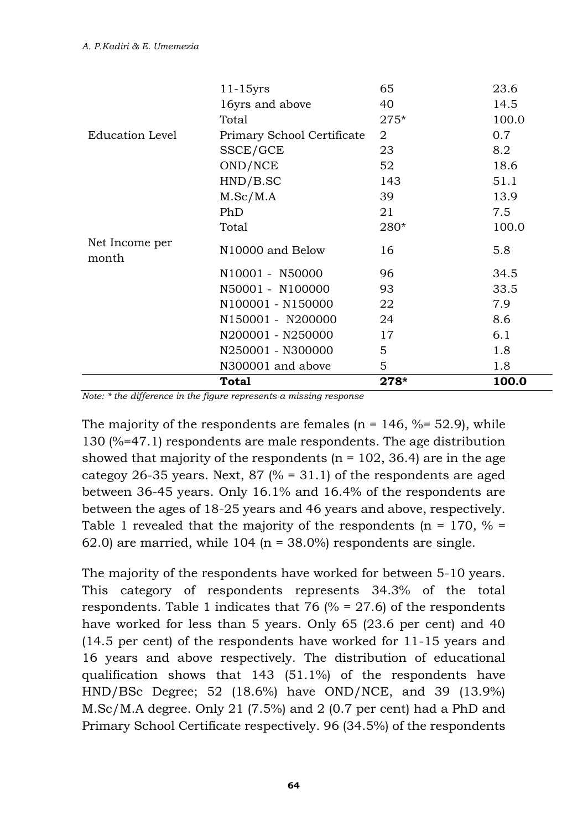|                         | Total                      | $275*$ | 100.0 |
|-------------------------|----------------------------|--------|-------|
| Education Level         | Primary School Certificate | 2      | 0.7   |
|                         | SSCE/GCE                   | 23     | 8.2   |
|                         | OND/NCE                    | 52     | 18.6  |
|                         | HND/B.SC                   | 143    | 51.1  |
|                         | M.Sc/M.A                   | 39     | 13.9  |
|                         | PhD                        | 21     | 7.5   |
|                         | Total                      | 280*   | 100.0 |
| Net Income per<br>month | N10000 and Below           | 16     | 5.8   |
|                         | N10001 - N50000            | 96     | 34.5  |
|                         | N50001 - N100000           | 93     | 33.5  |
|                         | N100001 - N150000          | 22     | 7.9   |
|                         | N150001 - N200000          | 24     | 8.6   |
|                         | N200001 - N250000          | 17     | 6.1   |
|                         | N250001 - N300000          | 5      | 1.8   |
|                         | N300001 and above          | 5      | 1.8   |
|                         | Total                      | $278*$ | 100.0 |

*Note: \* the difference in the figure represents a missing response*

The majority of the respondents are females ( $n = 146$ ,  $% = 52.9$ ), while 130 (%=47.1) respondents are male respondents. The age distribution showed that majority of the respondents  $(n = 102, 36.4)$  are in the age categoy 26-35 years. Next,  $87$  (% = 31.1) of the respondents are aged between 36-45 years. Only 16.1% and 16.4% of the respondents are between the ages of 18-25 years and 46 years and above, respectively. Table 1 revealed that the majority of the respondents ( $n = 170$ ,  $\% =$ 62.0) are married, while  $104$  (n = 38.0%) respondents are single.

The majority of the respondents have worked for between 5-10 years. This category of respondents represents 34.3% of the total respondents. Table 1 indicates that 76  $(% = 27.6)$  of the respondents have worked for less than 5 years. Only 65 (23.6 per cent) and 40 (14.5 per cent) of the respondents have worked for 11-15 years and 16 years and above respectively. The distribution of educational qualification shows that 143 (51.1%) of the respondents have HND/BSc Degree; 52 (18.6%) have OND/NCE, and 39 (13.9%) M.Sc/M.A degree. Only 21 (7.5%) and 2 (0.7 per cent) had a PhD and Primary School Certificate respectively. 96 (34.5%) of the respondents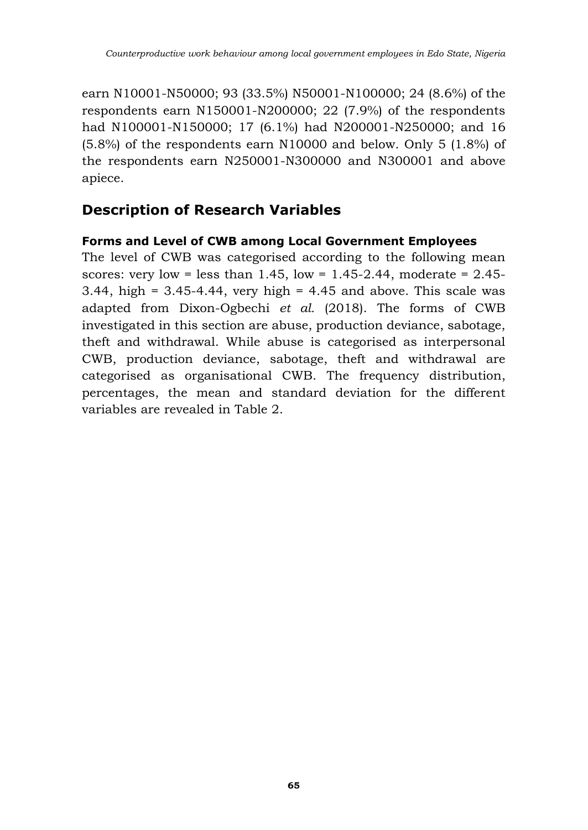earn N10001-N50000; 93 (33.5%) N50001-N100000; 24 (8.6%) of the respondents earn N150001-N200000; 22 (7.9%) of the respondents had N100001-N150000; 17 (6.1%) had N200001-N250000; and 16 (5.8%) of the respondents earn N10000 and below. Only 5 (1.8%) of the respondents earn N250001-N300000 and N300001 and above apiece.

## **Description of Research Variables**

### **Forms and Level of CWB among Local Government Employees**

The level of CWB was categorised according to the following mean scores: very low = less than  $1.45$ , low = 1.45-2.44, moderate = 2.45-3.44, high =  $3.45$ -4.44, very high = 4.45 and above. This scale was adapted from Dixon-Ogbechi *et al.* (2018). The forms of CWB investigated in this section are abuse, production deviance, sabotage, theft and withdrawal. While abuse is categorised as interpersonal CWB, production deviance, sabotage, theft and withdrawal are categorised as organisational CWB. The frequency distribution, percentages, the mean and standard deviation for the different variables are revealed in Table 2.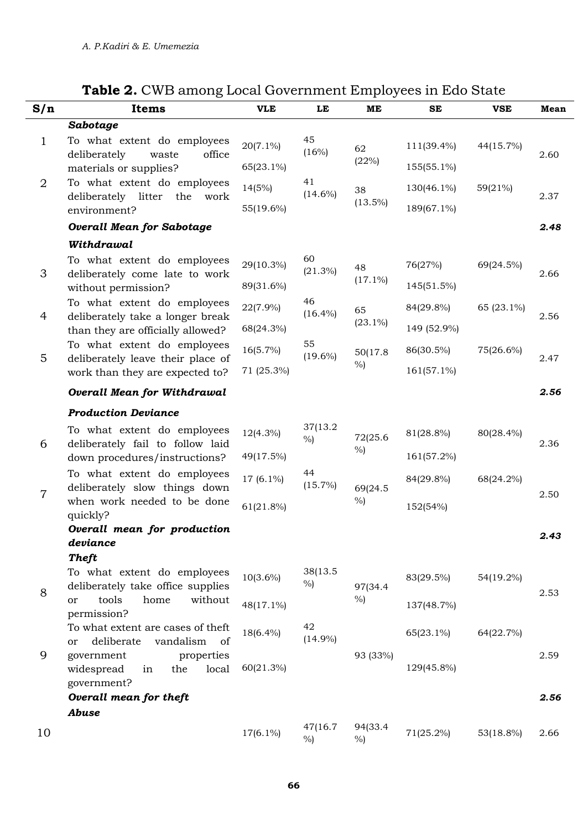| S/n            | Items                                                            | <b>VLE</b>  | LE                 | ME              | SE          | <b>VSE</b> | Mean |  |
|----------------|------------------------------------------------------------------|-------------|--------------------|-----------------|-------------|------------|------|--|
|                | Sabotage                                                         |             |                    |                 |             |            |      |  |
| $\mathbf{1}$   | To what extent do employees<br>deliberately<br>office<br>waste   | $20(7.1\%)$ | 45<br>(16%)        | 62              | 111(39.4%)  | 44(15.7%)  | 2.60 |  |
|                | materials or supplies?                                           | 65(23.1%)   |                    | (22%)           | 155(55.1%)  |            |      |  |
| $\overline{2}$ | To what extent do employees<br>deliberately litter the work      | 14(5%)      | 41<br>$(14.6\%)$   | 38              | 130(46.1%)  | 59(21%)    | 2.37 |  |
|                | environment?                                                     | 55(19.6%)   |                    | $(13.5\%)$      | 189(67.1%)  |            |      |  |
|                | <b>Overall Mean for Sabotage</b>                                 |             |                    |                 |             |            | 2.48 |  |
|                | Withdrawal                                                       |             |                    |                 |             |            |      |  |
| 3              | To what extent do employees<br>deliberately come late to work    | 29(10.3%)   | 60<br>$(21.3\%)$   | 48              | 76(27%)     | 69(24.5%)  | 2.66 |  |
|                | without permission?                                              | 89(31.6%)   |                    | $(17.1\%)$      | 145(51.5%)  |            |      |  |
| 4              | To what extent do employees<br>deliberately take a longer break  | 22(7.9%)    | 46<br>$(16.4\%)$   | 65              | 84(29.8%)   | 65 (23.1%) | 2.56 |  |
|                | than they are officially allowed?                                | 68(24.3%)   |                    | $(23.1\%)$      | 149 (52.9%) |            |      |  |
| 5              | To what extent do employees<br>deliberately leave their place of | 16(5.7%)    | 55<br>$(19.6\%)$   | 50(17.8)        | 86(30.5%)   | 75(26.6%)  |      |  |
|                | work than they are expected to?                                  | 71 (25.3%)  |                    | $\%$            | 161(57.1%)  |            | 2.47 |  |
|                | <b>Overall Mean for Withdrawal</b>                               |             |                    |                 |             |            | 2.56 |  |
|                | <b>Production Deviance</b>                                       |             |                    |                 |             |            |      |  |
| 6              | To what extent do employees<br>deliberately fail to follow laid  | 12(4.3%)    | 37(13.2)<br>$\%$ ) | 72(25.6         | 81(28.8%)   | 80(28.4%)  | 2.36 |  |
|                | down procedures/instructions?                                    | 49(17.5%)   |                    | %               | 161(57.2%)  |            |      |  |
|                | To what extent do employees<br>deliberately slow things down     | 17 (6.1%)   | 44<br>$(15.7\%)$   | 69(24.5         | 84(29.8%)   | 68(24.2%)  |      |  |
| $\overline{7}$ | when work needed to be done<br>quickly?                          | 61(21.8%)   |                    | $\%$            | 152(54%)    |            | 2.50 |  |
|                | Overall mean for production                                      |             |                    |                 |             |            | 2.43 |  |
|                | deviance<br><b>Theft</b>                                         |             |                    |                 |             |            |      |  |
|                | To what extent do employees                                      | $10(3.6\%)$ | 38(13.5            |                 | 83(29.5%)   | 54(19.2%)  |      |  |
| 8              | deliberately take office supplies                                |             | $\%$ )             | 97(34.4<br>$\%$ |             |            | 2.53 |  |
|                | tools<br>without<br>home<br>or<br>permission?                    | 48(17.1%)   |                    |                 | 137(48.7%)  |            |      |  |
|                | To what extent are cases of theft                                | 18(6.4%)    | 42<br>$(14.9\%)$   |                 | 65(23.1%)   | 64(22.7%)  |      |  |
| 9              | deliberate<br>vandalism<br>of<br>or<br>government<br>properties  |             |                    | 93 (33%)        |             |            | 2.59 |  |
|                | widespread<br>local<br>the<br>in                                 | 60(21.3%)   |                    |                 | 129(45.8%)  |            |      |  |
|                | government?<br>Overall mean for theft                            |             |                    |                 |             |            | 2.56 |  |
|                | Abuse                                                            |             |                    |                 |             |            |      |  |
| 10             |                                                                  | 17(6.1%)    | 47(16.7)<br>%      | 94(33.4<br>%    | 71(25.2%)   | 53(18.8%)  | 2.66 |  |

### **Table 2.** CWB among Local Government Employees in Edo State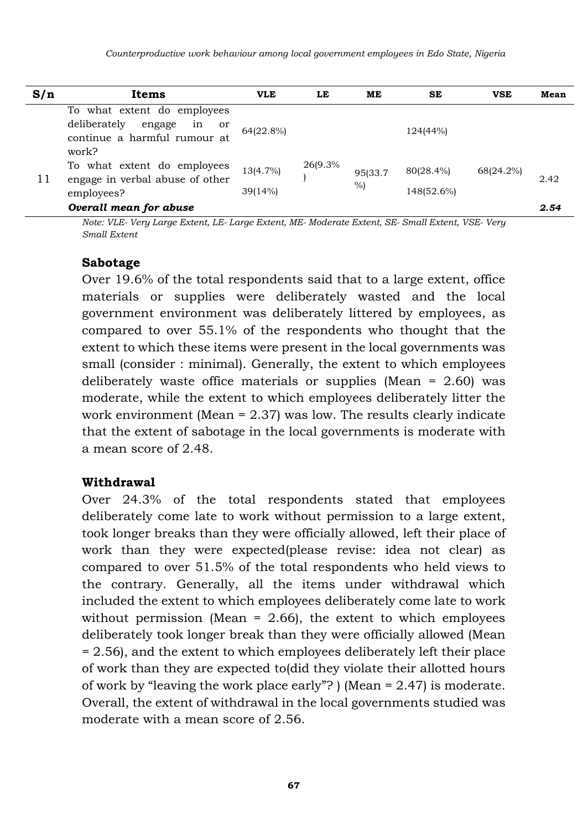| S/n | Items                                                                                                      | <b>VLE</b>          | LE       | ME           | SE                      | <b>VSE</b> | Mean |
|-----|------------------------------------------------------------------------------------------------------------|---------------------|----------|--------------|-------------------------|------------|------|
|     | To what extent do employees<br>deliberately<br>engage<br>in<br>or<br>continue a harmful rumour at<br>work? | 64(22.8%)           |          |              | 124(44%)                |            |      |
| 11  | To what extent do employees<br>engage in verbal abuse of other<br>employees?                               | 13(4.7%)<br>39(14%) | 26(9.3%) | 95(33.7<br>% | 80(28.4%)<br>148(52.6%) | 68(24.2%)  | 2.42 |
|     | Overall mean for abuse                                                                                     |                     |          |              |                         |            | 2.54 |

*Note: VLE- Very Large Extent, LE- Large Extent, ME- Moderate Extent, SE- Small Extent, VSE- Very Small Extent* 

#### **Sabotage**

Over 19.6% of the total respondents said that to a large extent, office materials or supplies were deliberately wasted and the local government environment was deliberately littered by employees, as compared to over 55.1% of the respondents who thought that the extent to which these items were present in the local governments was small (consider : minimal). Generally, the extent to which employees deliberately waste office materials or supplies (Mean = 2.60) was moderate, while the extent to which employees deliberately litter the work environment (Mean = 2.37) was low. The results clearly indicate that the extent of sabotage in the local governments is moderate with a mean score of 2.48.

#### **Withdrawal**

Over 24.3% of the total respondents stated that employees deliberately come late to work without permission to a large extent, took longer breaks than they were officially allowed, left their place of work than they were expected(please revise: idea not clear) as compared to over 51.5% of the total respondents who held views to the contrary. Generally, all the items under withdrawal which included the extent to which employees deliberately come late to work without permission (Mean  $= 2.66$ ), the extent to which employees deliberately took longer break than they were officially allowed (Mean = 2.56), and the extent to which employees deliberately left their place of work than they are expected to(did they violate their allotted hours of work by "leaving the work place early"? ) (Mean = 2.47) is moderate. Overall, the extent of withdrawal in the local governments studied was moderate with a mean score of 2.56.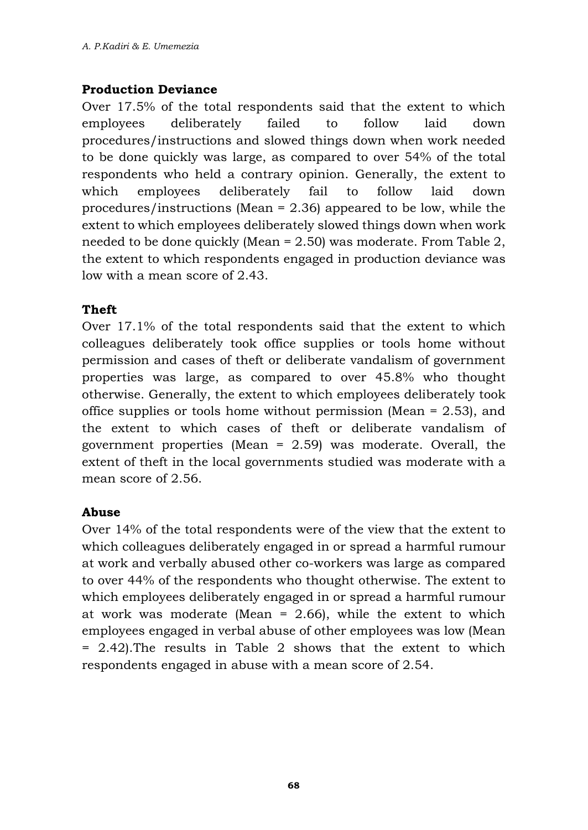#### **Production Deviance**

Over 17.5% of the total respondents said that the extent to which employees deliberately failed to follow laid down procedures/instructions and slowed things down when work needed to be done quickly was large, as compared to over 54% of the total respondents who held a contrary opinion. Generally, the extent to which employees deliberately fail to follow laid down procedures/instructions (Mean = 2.36) appeared to be low, while the extent to which employees deliberately slowed things down when work needed to be done quickly (Mean  $= 2.50$ ) was moderate. From Table 2, the extent to which respondents engaged in production deviance was low with a mean score of 2.43.

#### **Theft**

Over 17.1% of the total respondents said that the extent to which colleagues deliberately took office supplies or tools home without permission and cases of theft or deliberate vandalism of government properties was large, as compared to over 45.8% who thought otherwise. Generally, the extent to which employees deliberately took office supplies or tools home without permission (Mean = 2.53), and the extent to which cases of theft or deliberate vandalism of government properties (Mean = 2.59) was moderate. Overall, the extent of theft in the local governments studied was moderate with a mean score of 2.56.

#### **Abuse**

Over 14% of the total respondents were of the view that the extent to which colleagues deliberately engaged in or spread a harmful rumour at work and verbally abused other co-workers was large as compared to over 44% of the respondents who thought otherwise. The extent to which employees deliberately engaged in or spread a harmful rumour at work was moderate (Mean  $= 2.66$ ), while the extent to which employees engaged in verbal abuse of other employees was low (Mean = 2.42).The results in Table 2 shows that the extent to which respondents engaged in abuse with a mean score of 2.54.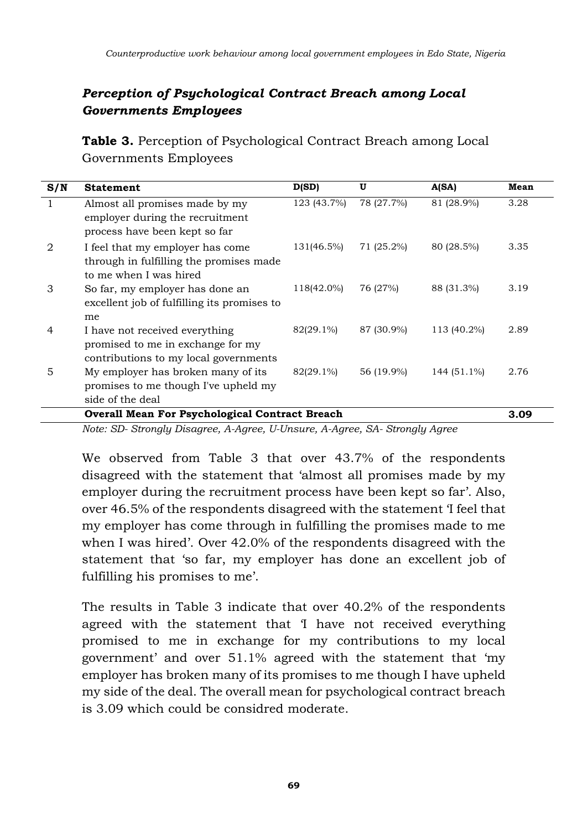### *Perception of Psychological Contract Breach among Local Governments Employees*

**Table 3.** Perception of Psychological Contract Breach among Local Governments Employees

| S/N | <b>Statement</b>                                                                                             | D(SD)       | U          | A(SA)       | Mean |  |  |
|-----|--------------------------------------------------------------------------------------------------------------|-------------|------------|-------------|------|--|--|
|     | Almost all promises made by my<br>employer during the recruitment<br>process have been kept so far           | 123 (43.7%) | 78 (27.7%) | 81 (28.9%)  | 3.28 |  |  |
| 2   | I feel that my employer has come<br>through in fulfilling the promises made<br>to me when I was hired        | 131(46.5%)  | 71 (25.2%) | 80 (28.5%)  | 3.35 |  |  |
| 3   | So far, my employer has done an<br>excellent job of fulfilling its promises to<br>me                         | 118(42.0%)  | 76 (27%)   | 88 (31.3%)  | 3.19 |  |  |
| 4   | I have not received everything<br>promised to me in exchange for my<br>contributions to my local governments | 82(29.1%)   | 87 (30.9%) | 113 (40.2%) | 2.89 |  |  |
| 5   | My employer has broken many of its<br>promises to me though I've upheld my<br>side of the deal               | 82(29.1%)   | 56 (19.9%) | 144 (51.1%) | 2.76 |  |  |
|     | <b>Overall Mean For Psychological Contract Breach</b>                                                        |             |            |             |      |  |  |

*Note: SD- Strongly Disagree, A-Agree, U-Unsure, A-Agree, SA- Strongly Agree*

We observed from Table 3 that over 43.7% of the respondents disagreed with the statement that 'almost all promises made by my employer during the recruitment process have been kept so far'. Also, over 46.5% of the respondents disagreed with the statement 'I feel that my employer has come through in fulfilling the promises made to me when I was hired'. Over 42.0% of the respondents disagreed with the statement that 'so far, my employer has done an excellent job of fulfilling his promises to me'.

The results in Table 3 indicate that over 40.2% of the respondents agreed with the statement that 'I have not received everything promised to me in exchange for my contributions to my local government' and over 51.1% agreed with the statement that 'my employer has broken many of its promises to me though I have upheld my side of the deal. The overall mean for psychological contract breach is 3.09 which could be considred moderate.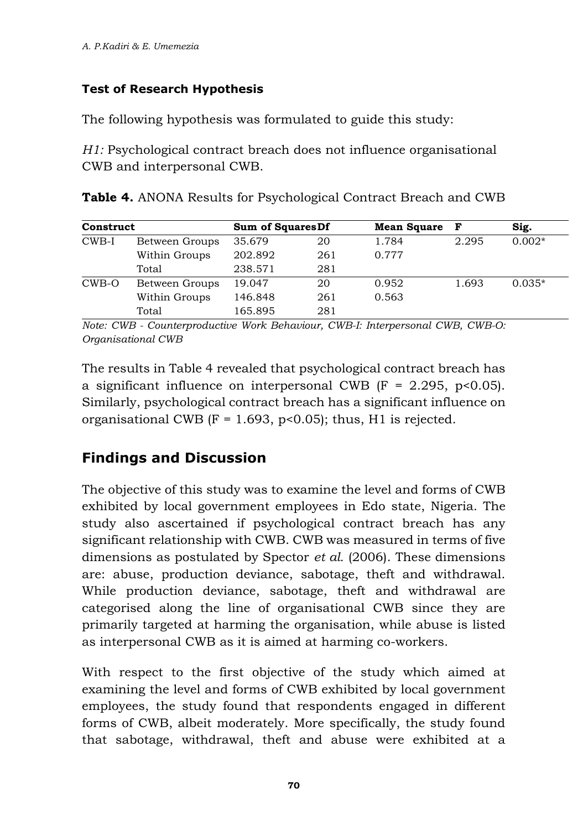### **Test of Research Hypothesis**

The following hypothesis was formulated to guide this study:

*H1:* Psychological contract breach does not influence organisational CWB and interpersonal CWB.

|  |  | Table 4. ANONA Results for Psychological Contract Breach and CWB |  |  |
|--|--|------------------------------------------------------------------|--|--|
|  |  |                                                                  |  |  |

| Construct |                | <b>Sum of Squares Df</b> |     | <b>Mean Square</b> | F     | Sig.     |
|-----------|----------------|--------------------------|-----|--------------------|-------|----------|
| $CWB-I$   | Between Groups | 35.679                   | 20  | 1.784              | 2.295 | $0.002*$ |
|           | Within Groups  | 202.892                  | 261 | 0.777              |       |          |
|           | Total          | 238.571                  | 281 |                    |       |          |
| CWB-O     | Between Groups | 19.047                   | 20  | 0.952              | 1.693 | $0.035*$ |
|           | Within Groups  | 146.848                  | 261 | 0.563              |       |          |
|           | Total          | 165.895                  | 281 |                    |       |          |

*Note: CWB - Counterproductive Work Behaviour, CWB-I: Interpersonal CWB, CWB-O: Organisational CWB* 

The results in Table 4 revealed that psychological contract breach has a significant influence on interpersonal CWB  $(F = 2.295, p < 0.05)$ . Similarly, psychological contract breach has a significant influence on organisational CWB ( $F = 1.693$ ,  $p < 0.05$ ); thus, H1 is rejected.

## **Findings and Discussion**

The objective of this study was to examine the level and forms of CWB exhibited by local government employees in Edo state, Nigeria. The study also ascertained if psychological contract breach has any significant relationship with CWB. CWB was measured in terms of five dimensions as postulated by Spector *et al.* (2006). These dimensions are: abuse, production deviance, sabotage, theft and withdrawal. While production deviance, sabotage, theft and withdrawal are categorised along the line of organisational CWB since they are primarily targeted at harming the organisation, while abuse is listed as interpersonal CWB as it is aimed at harming co-workers.

With respect to the first objective of the study which aimed at examining the level and forms of CWB exhibited by local government employees, the study found that respondents engaged in different forms of CWB, albeit moderately. More specifically, the study found that sabotage, withdrawal, theft and abuse were exhibited at a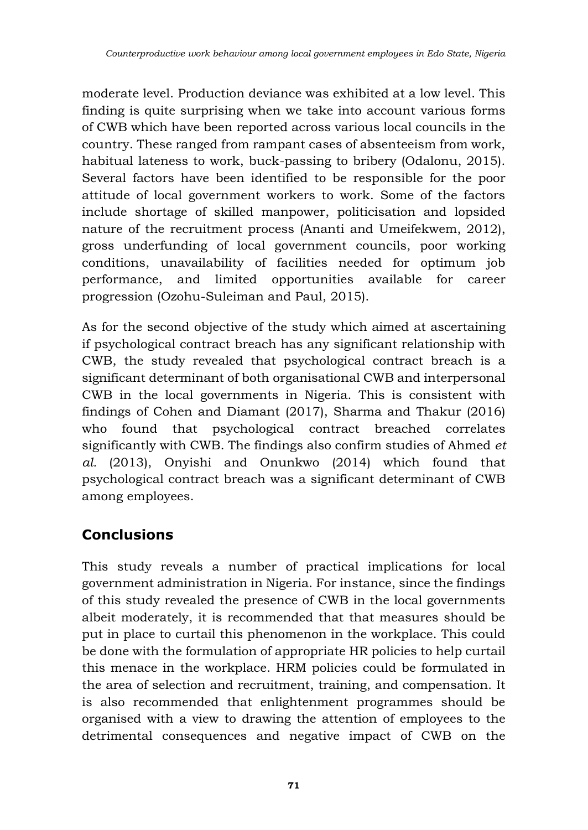moderate level. Production deviance was exhibited at a low level. This finding is quite surprising when we take into account various forms of CWB which have been reported across various local councils in the country. These ranged from rampant cases of absenteeism from work, habitual lateness to work, buck-passing to bribery (Odalonu, 2015). Several factors have been identified to be responsible for the poor attitude of local government workers to work. Some of the factors include shortage of skilled manpower, politicisation and lopsided nature of the recruitment process (Ananti and Umeifekwem, 2012), gross underfunding of local government councils, poor working conditions, unavailability of facilities needed for optimum job performance, and limited opportunities available for career progression (Ozohu-Suleiman and Paul, 2015).

As for the second objective of the study which aimed at ascertaining if psychological contract breach has any significant relationship with CWB, the study revealed that psychological contract breach is a significant determinant of both organisational CWB and interpersonal CWB in the local governments in Nigeria. This is consistent with findings of Cohen and Diamant (2017), Sharma and Thakur (2016) who found that psychological contract breached correlates significantly with CWB. The findings also confirm studies of Ahmed *et al.* (2013), Onyishi and Onunkwo (2014) which found that psychological contract breach was a significant determinant of CWB among employees.

# **Conclusions**

This study reveals a number of practical implications for local government administration in Nigeria. For instance, since the findings of this study revealed the presence of CWB in the local governments albeit moderately, it is recommended that that measures should be put in place to curtail this phenomenon in the workplace. This could be done with the formulation of appropriate HR policies to help curtail this menace in the workplace. HRM policies could be formulated in the area of selection and recruitment, training, and compensation. It is also recommended that enlightenment programmes should be organised with a view to drawing the attention of employees to the detrimental consequences and negative impact of CWB on the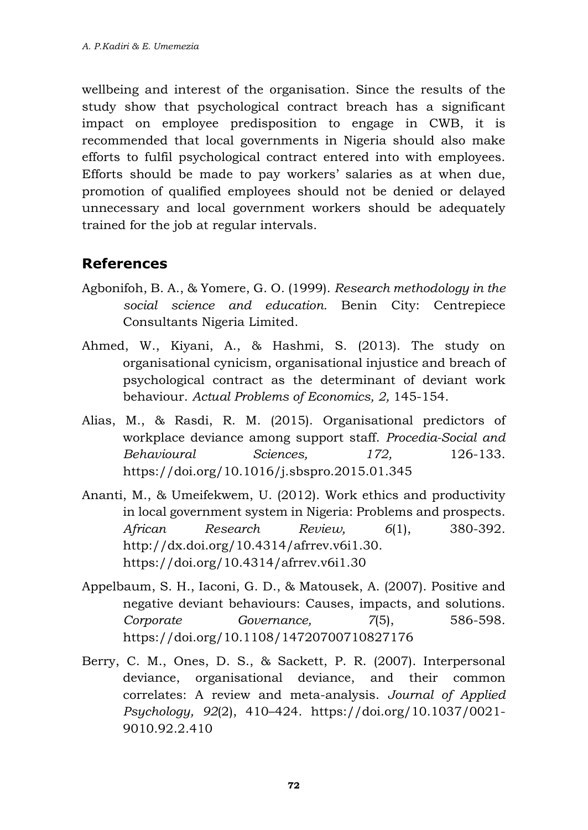wellbeing and interest of the organisation. Since the results of the study show that psychological contract breach has a significant impact on employee predisposition to engage in CWB, it is recommended that local governments in Nigeria should also make efforts to fulfil psychological contract entered into with employees. Efforts should be made to pay workers' salaries as at when due, promotion of qualified employees should not be denied or delayed unnecessary and local government workers should be adequately trained for the job at regular intervals.

### **References**

- Agbonifoh, B. A., & Yomere, G. O. (1999). *Research methodology in the social science and education.* Benin City: Centrepiece Consultants Nigeria Limited.
- Ahmed, W., Kiyani, A., & Hashmi, S. (2013). The study on organisational cynicism, organisational injustice and breach of psychological contract as the determinant of deviant work behaviour. *Actual Problems of Economics, 2,* 145-154.
- Alias, M., & Rasdi, R. M. (2015). Organisational predictors of workplace deviance among support staff. *Procedia-Social and Behavioural Sciences, 172,* 126-133. https://doi.org/10.1016/j.sbspro.2015.01.345
- Ananti, M., & Umeifekwem, U. (2012). Work ethics and productivity in local government system in Nigeria: Problems and prospects. *African Research Review, 6*(1), 380-392. [http://dx.doi.org/10.4314/afrrev.v6i1.30.](http://dx.doi.org/10.4314/afrrev.v6i1.30) <https://doi.org/10.4314/afrrev.v6i1.30>
- Appelbaum, S. H., Iaconi, G. D., & Matousek, A. (2007). Positive and negative deviant behaviours: Causes, impacts, and solutions. *Corporate Governance, 7*(5), 586-598. https://doi.org/10.1108/14720700710827176
- Berry, C. M., Ones, D. S., & Sackett, P. R. (2007). Interpersonal deviance, organisational deviance, and their common correlates: A review and meta-analysis. *Journal of Applied Psychology, 92*(2), 410–424. [https://doi.org/10.1037/0021-](https://doi.org/10.1037/0021-9010.92.2.410) [9010.92.2.410](https://doi.org/10.1037/0021-9010.92.2.410)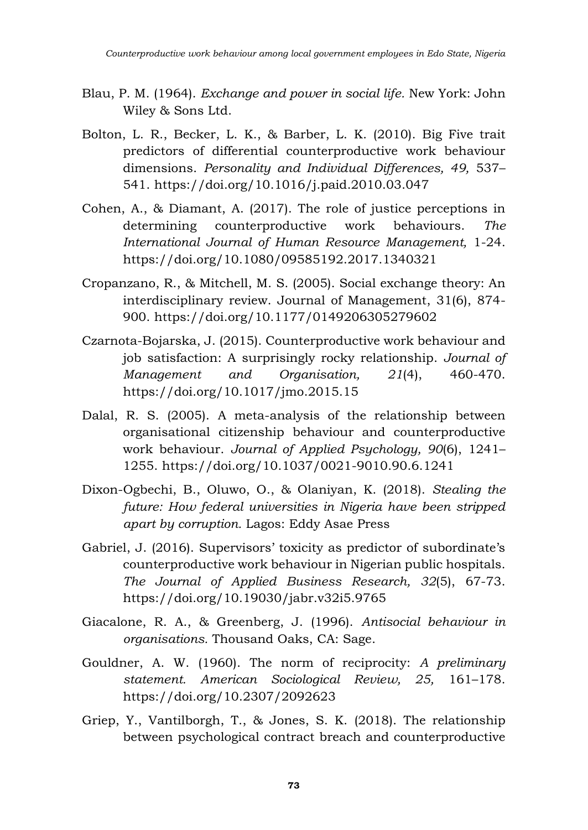- Blau, P. M. (1964). *Exchange and power in social life.* New York: John Wiley & Sons Ltd.
- Bolton, L. R., Becker, L. K., & Barber, L. K. (2010). Big Five trait predictors of differential counterproductive work behaviour dimensions. *Personality and Individual Differences, 49,* 537– 541.<https://doi.org/10.1016/j.paid.2010.03.047>
- Cohen, A., & Diamant, A. (2017). The role of justice perceptions in determining counterproductive work behaviours. *The International Journal of Human Resource Management,* 1-24. <https://doi.org/10.1080/09585192.2017.1340321>
- Cropanzano, R., & Mitchell, M. S. (2005). Social exchange theory: An interdisciplinary review. Journal of Management, 31(6), 874- 900. https://doi.org/10.1177/0149206305279602
- Czarnota-Bojarska, J. (2015). Counterproductive work behaviour and job satisfaction: A surprisingly rocky relationship. *Journal of Management and Organisation, 21*(4), 460-470. https://doi.org/10.1017/jmo.2015.15
- Dalal, R. S. (2005). A meta-analysis of the relationship between organisational citizenship behaviour and counterproductive work behaviour. *Journal of Applied Psychology, 90*(6), 1241– 1255. https://doi.org/10.1037/0021-9010.90.6.1241
- Dixon-Ogbechi, B., Oluwo, O., & Olaniyan, K. (2018). *Stealing the future: How federal universities in Nigeria have been stripped apart by corruption.* Lagos: Eddy Asae Press
- Gabriel, J. (2016). Supervisors' toxicity as predictor of subordinate's counterproductive work behaviour in Nigerian public hospitals. *The Journal of Applied Business Research, 32*(5), 67-73. https://doi.org/10.19030/jabr.v32i5.9765
- Giacalone, R. A., & Greenberg, J. (1996). *Antisocial behaviour in organisations.* Thousand Oaks, CA: Sage.
- Gouldner, A. W. (1960). The norm of reciprocity: *A preliminary statement. American Sociological Review, 25,* 161–178. https://doi.org/10.2307/2092623
- Griep, Y., Vantilborgh, T., & Jones, S. K. (2018). The relationship between psychological contract breach and counterproductive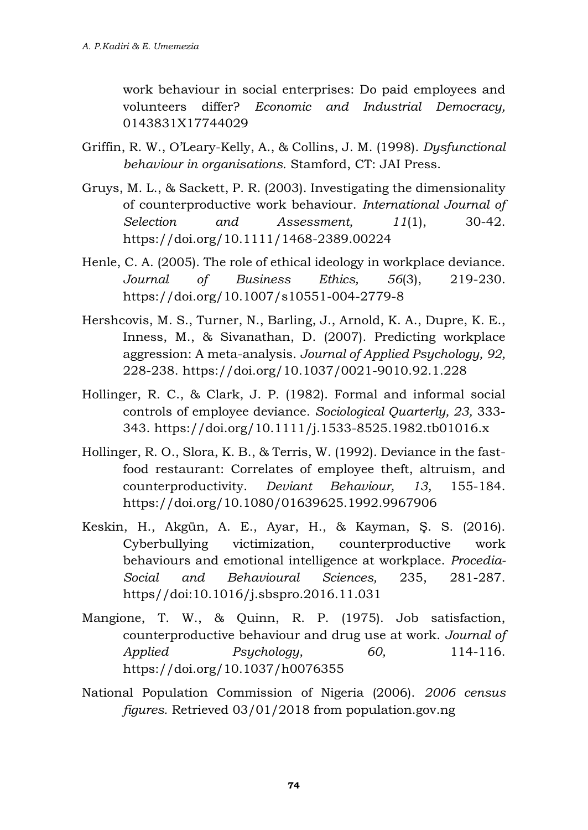work behaviour in social enterprises: Do paid employees and volunteers differ? *Economic and Industrial Democracy,*  0143831X17744029

- Griffin, R. W., O'Leary-Kelly, A., & Collins, J. M. (1998). *Dysfunctional behaviour in organisations.* Stamford, CT: JAI Press.
- Gruys, M. L., & Sackett, P. R. (2003). Investigating the dimensionality of counterproductive work behaviour. *International Journal of Selection and Assessment, 11*(1), 30-42. <https://doi.org/10.1111/1468-2389.00224>
- Henle, C. A. (2005). The role of ethical ideology in workplace deviance. *Journal of Business Ethics, 56*(3), 219-230. https://doi.org/10.1007/s10551-004-2779-8
- Hershcovis, M. S., Turner, N., Barling, J., Arnold, K. A., Dupre, K. E., Inness, M., & Sivanathan, D. (2007). Predicting workplace aggression: A meta-analysis. *Journal of Applied Psychology, 92,*  228-238. https://doi.org/10.1037/0021-9010.92.1.228
- Hollinger, R. C., & Clark, J. P. (1982). Formal and informal social controls of employee deviance. *Sociological Quarterly, 23,* 333- 343. https://doi.org/10.1111/j.1533-8525.1982.tb01016.x
- Hollinger, R. O., Slora, K. B., & Terris, W. (1992). Deviance in the fastfood restaurant: Correlates of employee theft, altruism, and counterproductivity. *Deviant Behaviour, 13,* 155-184. https://doi.org/10.1080/01639625.1992.9967906
- Keskin, H., Akgün, A. E., Ayar, H., & Kayman, Ş. S. (2016). Cyberbullying victimization, counterproductive work behaviours and emotional intelligence at workplace. *Procedia-Social and Behavioural Sciences,* 235, 281-287. https//doi:10.1016/j.sbspro.2016.11.031
- Mangione, T. W., & Quinn, R. P. (1975). Job satisfaction, counterproductive behaviour and drug use at work. *Journal of Applied Psychology, 60,* 114-116. https://doi.org/10.1037/h0076355
- National Population Commission of Nigeria (2006). *2006 census figures.* Retrieved 03/01/2018 from population.gov.ng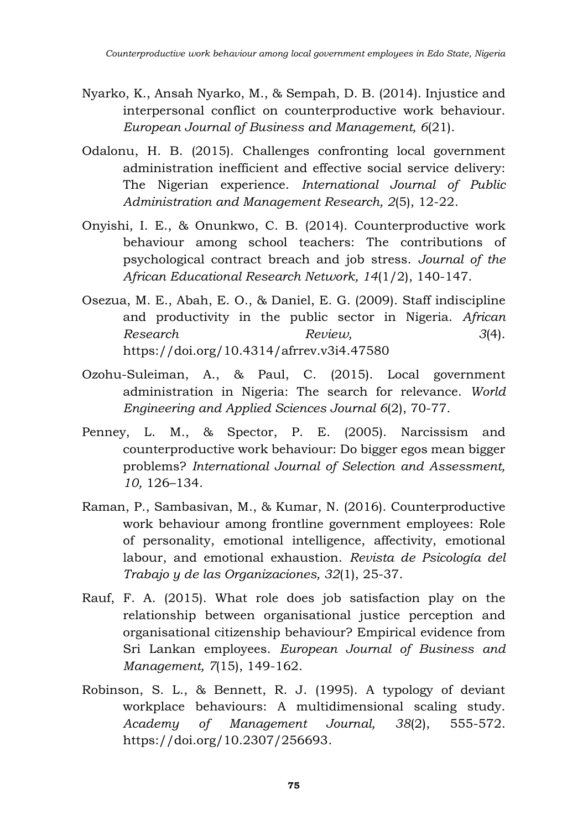- Nyarko, K., Ansah Nyarko, M., & Sempah, D. B. (2014). Injustice and interpersonal conflict on counterproductive work behaviour. *European Journal of Business and Management, 6*(21).
- Odalonu, H. B. (2015). Challenges confronting local government administration inefficient and effective social service delivery: The Nigerian experience. *International Journal of Public Administration and Management Research, 2*(5), 12-22.
- Onyishi, I. E., & Onunkwo, C. B. (2014). Counterproductive work behaviour among school teachers: The contributions of psychological contract breach and job stress. *Journal of the African Educational Research Network, 14*(1/2), 140-147.
- Osezua, M. E., Abah, E. O., & Daniel, E. G. (2009). Staff indiscipline and productivity in the public sector in Nigeria. *African Research Review, 3*(4). https://doi.org/10.4314/afrrev.v3i4.47580
- Ozohu-Suleiman, A., & Paul, C. (2015). Local government administration in Nigeria: The search for relevance. *World Engineering and Applied Sciences Journal 6*(2), 70-77.
- Penney, L. M., & Spector, P. E. (2005). Narcissism and counterproductive work behaviour: Do bigger egos mean bigger problems? *International Journal of Selection and Assessment, 10,* 126–134.
- Raman, P., Sambasivan, M., & Kumar, N. (2016). Counterproductive work behaviour among frontline government employees: Role of personality, emotional intelligence, affectivity, emotional labour, and emotional exhaustion. *Revista de Psicología del Trabajo y de las Organizaciones, 32*(1), 25-37.
- Rauf, F. A. (2015). What role does job satisfaction play on the relationship between organisational justice perception and organisational citizenship behaviour? Empirical evidence from Sri Lankan employees. *European Journal of Business and Management, 7*(15), 149-162.
- Robinson, S. L., & Bennett, R. J. (1995). A typology of deviant workplace behaviours: A multidimensional scaling study. *Academy of Management Journal, 38*(2), 555-572. [https://doi.org/10.2307/256693.](https://doi.org/10.2307/256693)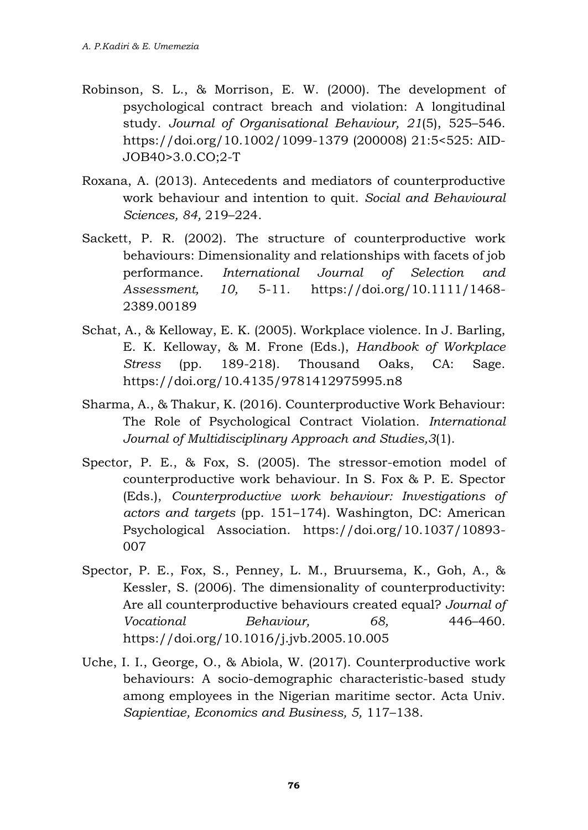- Robinson, S. L., & Morrison, E. W. (2000). The development of psychological contract breach and violation: A longitudinal study. *Journal of Organisational Behaviour, 21*(5), 525–546. https://doi.org/10.1002/1099-1379 (200008) 21:5<525: AID-JOB40>3.0.CO;2-T
- Roxana, A. (2013). Antecedents and mediators of counterproductive work behaviour and intention to quit. *Social and Behavioural Sciences, 84,* 219–224.
- Sackett, P. R. (2002). The structure of counterproductive work behaviours: Dimensionality and relationships with facets of job performance. *International Journal of Selection and Assessment, 10,* 5-11. [https://doi.org/10.1111/1468-](https://doi.org/10.1111/1468-2389.00189) [2389.00189](https://doi.org/10.1111/1468-2389.00189)
- Schat, A., & Kelloway, E. K. (2005). Workplace violence. In J. Barling, E. K. Kelloway, & M. Frone (Eds.), *Handbook of Workplace Stress* (pp. 189-218). Thousand Oaks, CA: Sage. https://doi.org/10.4135/9781412975995.n8
- Sharma, A., & Thakur, K. (2016). Counterproductive Work Behaviour: The Role of Psychological Contract Violation. *International Journal of Multidisciplinary Approach and Studies,3*(1).
- Spector, P. E., & Fox, S. (2005). The stressor-emotion model of counterproductive work behaviour. In S. Fox & P. E. Spector (Eds.), *Counterproductive work behaviour: Investigations of actors and targets* (pp. 151–174). Washington, DC: American Psychological Association. https://doi.org/10.1037/10893- 007
- Spector, P. E., Fox, S., Penney, L. M., Bruursema, K., Goh, A., & Kessler, S. (2006). The dimensionality of counterproductivity: Are all counterproductive behaviours created equal? *Journal of Vocational Behaviour, 68,* 446–460. https://doi.org/10.1016/j.jvb.2005.10.005
- Uche, I. I., George, O., & Abiola, W. (2017). Counterproductive work behaviours: A socio-demographic characteristic-based study among employees in the Nigerian maritime sector. Acta Univ. *Sapientiae, Economics and Business, 5,* 117–138.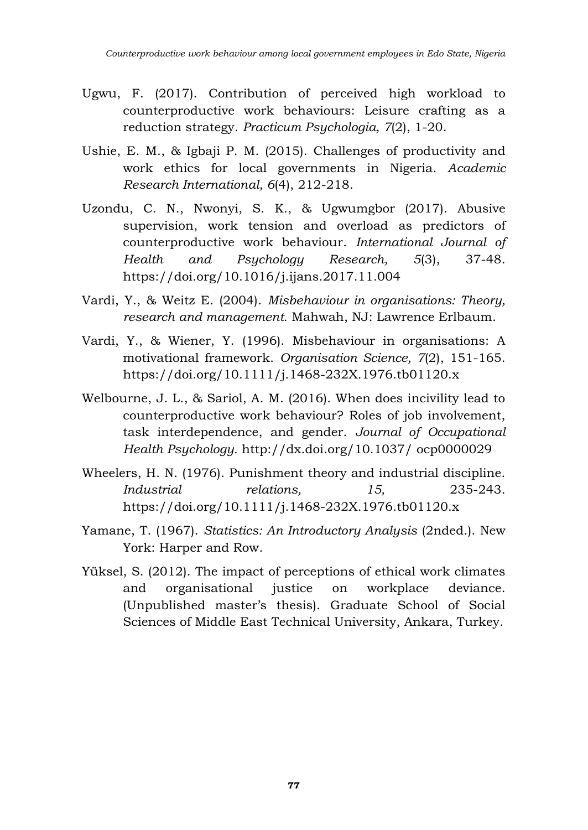- Ugwu, F. (2017). Contribution of perceived high workload to counterproductive work behaviours: Leisure crafting as a reduction strategy. *Practicum Psychologia, 7*(2), 1-20.
- Ushie, E. M., & Igbaji P. M. (2015). Challenges of productivity and work ethics for local governments in Nigeria. *Academic Research International, 6*(4), 212-218.
- Uzondu, C. N., Nwonyi, S. K., & Ugwumgbor (2017). Abusive supervision, work tension and overload as predictors of counterproductive work behaviour. *International Journal of Health and Psychology Research, 5*(3), 37-48. <https://doi.org/10.1016/j.ijans.2017.11.004>
- Vardi, Y., & Weitz E. (2004). *Misbehaviour in organisations: Theory, research and management.* Mahwah, NJ: Lawrence Erlbaum.
- Vardi, Y., & Wiener, Y. (1996). Misbehaviour in organisations: A motivational framework. *Organisation Science, 7*(2), 151-165. https://doi.org/10.1111/j.1468-232X.1976.tb01120.x
- Welbourne, J. L., & Sariol, A. M. (2016). When does incivility lead to counterproductive work behaviour? Roles of job involvement, task interdependence, and gender. *Journal of Occupational Health Psychology.* http://dx.doi.org/10.1037/ ocp0000029
- Wheelers, H. N. (1976). Punishment theory and industrial discipline. *Industrial relations, 15,* 235-243. https://doi.org/10.1111/j.1468-232X.1976.tb01120.x
- Yamane, T. (1967). *Statistics: An Introductory Analysis* (2nded.). New York: Harper and Row.
- Yüksel, S. (2012). The impact of perceptions of ethical work climates and organisational justice on workplace deviance. (Unpublished master's thesis). Graduate School of Social Sciences of Middle East Technical University, Ankara, Turkey.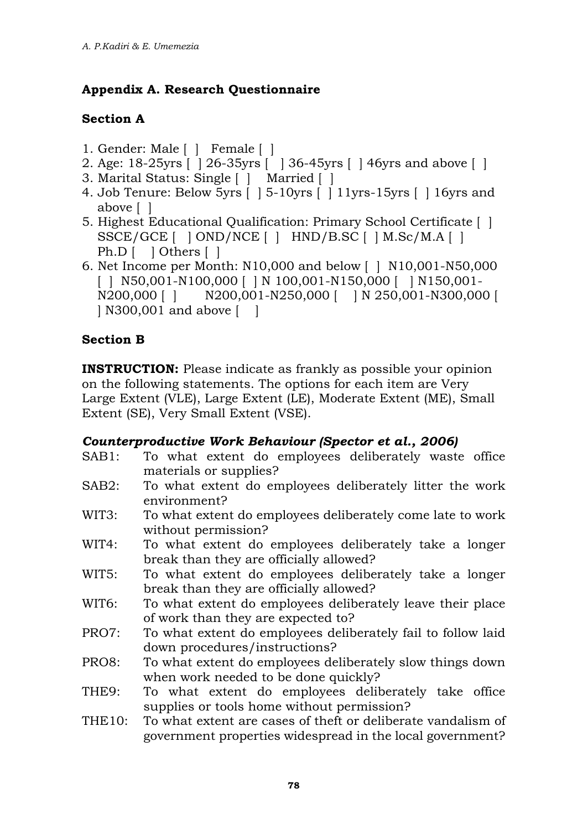### **Appendix A. Research Questionnaire**

#### **Section A**

- 1. Gender: Male [ ] Female [ ]
- 2. Age: 18-25yrs [ ] 26-35yrs [ ] 36-45yrs [ ] 46yrs and above [ ]
- 3. Marital Status: Single [ ] Married [ ]
- 4. Job Tenure: Below 5yrs [ ] 5-10yrs [ ] 11yrs-15yrs [ ] 16yrs and above [ ]
- 5. Highest Educational Qualification: Primary School Certificate [ ]  $SSCE/GCE$   $[$   $]$  OND/NCE  $[$   $]$  HND/B.SC  $[$   $]$  M.Sc/M.A  $[$   $]$ Ph.D [ ] Others [ ]
- 6. Net Income per Month: N10,000 and below [ ] N10,001-N50,000 [ ] N50,001-N100,000 [ ] N 100,001-N150,000 [ ] N150,001-N200.000 [ ] N200.001-N250,000 [ ] N 250,001-N300,000 N200,000 [ ] N200,001-N250,000 [ ] N 250,001-N300,000 [ | N300,001 and above  $\lceil \quad \rceil$

### **Section B**

**INSTRUCTION:** Please indicate as frankly as possible your opinion on the following statements. The options for each item are Very Large Extent (VLE), Large Extent (LE), Moderate Extent (ME), Small Extent (SE), Very Small Extent (VSE).

#### *Counterproductive Work Behaviour (Spector et al., 2006)*

- SAB1: To what extent do employees deliberately waste office materials or supplies?
- SAB2: To what extent do employees deliberately litter the work environment?
- WIT3: To what extent do employees deliberately come late to work without permission?
- WIT4: To what extent do employees deliberately take a longer break than they are officially allowed?
- WIT5: To what extent do employees deliberately take a longer break than they are officially allowed?
- WIT6: To what extent do employees deliberately leave their place of work than they are expected to?
- PRO7: To what extent do employees deliberately fail to follow laid down procedures/instructions?
- PRO8: To what extent do employees deliberately slow things down when work needed to be done quickly?
- THE9: To what extent do employees deliberately take office supplies or tools home without permission?
- THE10: To what extent are cases of theft or deliberate vandalism of government properties widespread in the local government?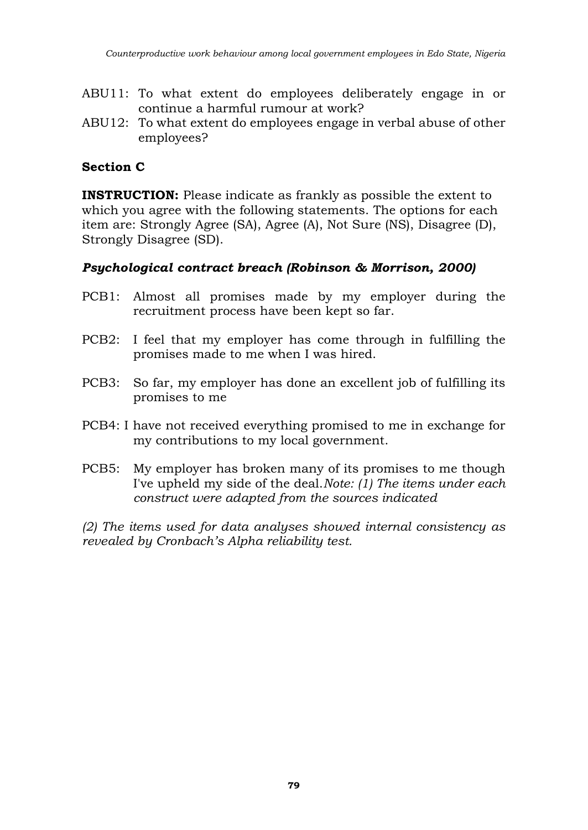- ABU11: To what extent do employees deliberately engage in or continue a harmful rumour at work?
- ABU12: To what extent do employees engage in verbal abuse of other employees?

#### **Section C**

**INSTRUCTION:** Please indicate as frankly as possible the extent to which you agree with the following statements. The options for each item are: Strongly Agree (SA), Agree (A), Not Sure (NS), Disagree (D), Strongly Disagree (SD).

#### *Psychological contract breach (Robinson & Morrison, 2000)*

- PCB1: Almost all promises made by my employer during the recruitment process have been kept so far.
- PCB2: I feel that my employer has come through in fulfilling the promises made to me when I was hired.
- PCB3: So far, my employer has done an excellent job of fulfilling its promises to me
- PCB4: I have not received everything promised to me in exchange for my contributions to my local government.
- PCB5: My employer has broken many of its promises to me though I've upheld my side of the deal.*Note: (1) The items under each construct were adapted from the sources indicated*

*(2) The items used for data analyses showed internal consistency as revealed by Cronbach's Alpha reliability test.*